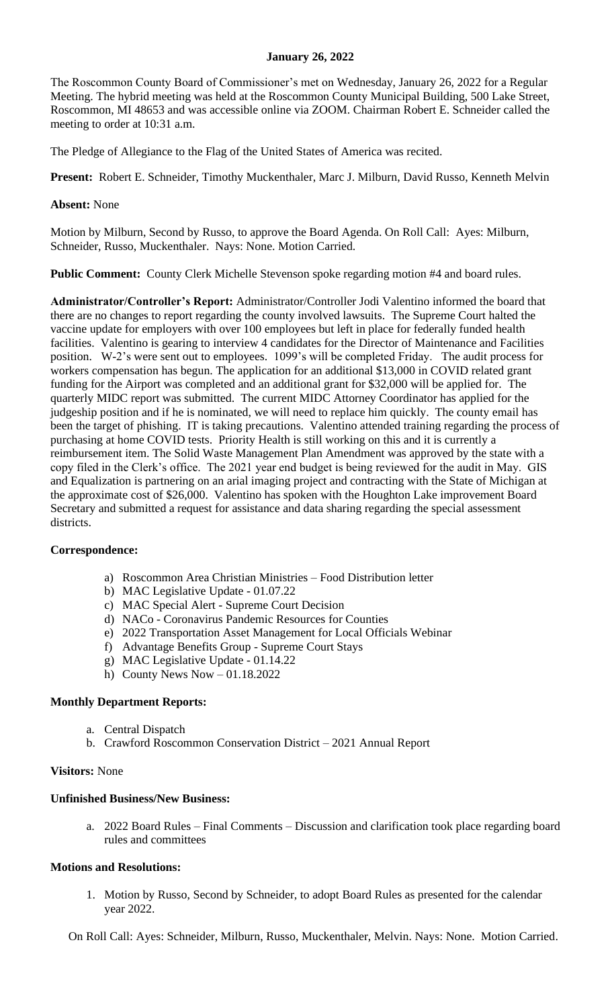## **January 26, 2022**

The Roscommon County Board of Commissioner's met on Wednesday, January 26, 2022 for a Regular Meeting. The hybrid meeting was held at the Roscommon County Municipal Building, 500 Lake Street, Roscommon, MI 48653 and was accessible online via ZOOM. Chairman Robert E. Schneider called the meeting to order at 10:31 a.m.

The Pledge of Allegiance to the Flag of the United States of America was recited.

**Present:** Robert E. Schneider, Timothy Muckenthaler, Marc J. Milburn, David Russo, Kenneth Melvin

#### **Absent:** None

Motion by Milburn, Second by Russo, to approve the Board Agenda. On Roll Call: Ayes: Milburn, Schneider, Russo, Muckenthaler. Nays: None. Motion Carried.

**Public Comment:** County Clerk Michelle Stevenson spoke regarding motion #4 and board rules.

**Administrator/Controller's Report:** Administrator/Controller Jodi Valentino informed the board that there are no changes to report regarding the county involved lawsuits. The Supreme Court halted the vaccine update for employers with over 100 employees but left in place for federally funded health facilities. Valentino is gearing to interview 4 candidates for the Director of Maintenance and Facilities position. W-2's were sent out to employees. 1099's will be completed Friday. The audit process for workers compensation has begun. The application for an additional \$13,000 in COVID related grant funding for the Airport was completed and an additional grant for \$32,000 will be applied for. The quarterly MIDC report was submitted. The current MIDC Attorney Coordinator has applied for the judgeship position and if he is nominated, we will need to replace him quickly. The county email has been the target of phishing. IT is taking precautions. Valentino attended training regarding the process of purchasing at home COVID tests. Priority Health is still working on this and it is currently a reimbursement item. The Solid Waste Management Plan Amendment was approved by the state with a copy filed in the Clerk's office. The 2021 year end budget is being reviewed for the audit in May. GIS and Equalization is partnering on an arial imaging project and contracting with the State of Michigan at the approximate cost of \$26,000. Valentino has spoken with the Houghton Lake improvement Board Secretary and submitted a request for assistance and data sharing regarding the special assessment districts.

#### **Correspondence:**

- a) Roscommon Area Christian Ministries Food Distribution letter
- b) MAC Legislative Update 01.07.22
- c) MAC Special Alert Supreme Court Decision
- d) NACo Coronavirus Pandemic Resources for Counties
- e) 2022 Transportation Asset Management for Local Officials Webinar
- f) Advantage Benefits Group Supreme Court Stays
- g) MAC Legislative Update 01.14.22
- h) County News Now  $-01.18.2022$

## **Monthly Department Reports:**

- a. Central Dispatch
- b. Crawford Roscommon Conservation District 2021 Annual Report

## **Visitors:** None

#### **Unfinished Business/New Business:**

a. 2022 Board Rules – Final Comments – Discussion and clarification took place regarding board rules and committees

### **Motions and Resolutions:**

1. Motion by Russo, Second by Schneider, to adopt Board Rules as presented for the calendar year 2022.

On Roll Call: Ayes: Schneider, Milburn, Russo, Muckenthaler, Melvin. Nays: None. Motion Carried.